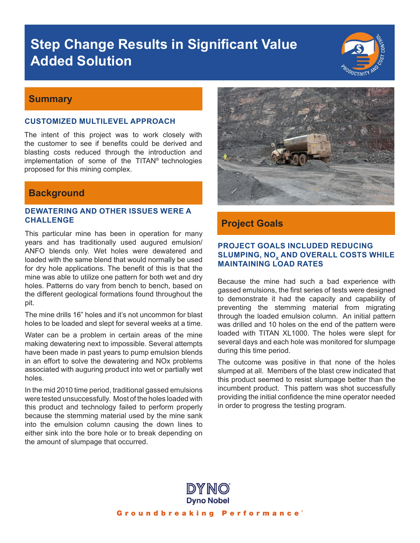# **Step Change Results in Significant Value Added Solution**



#### **Summary**

#### **CUSTOMIZED MULTILEVEL APPROACH**

The intent of this project was to work closely with the customer to see if benefits could be derived and blasting costs reduced through the introduction and implementation of some of the TITAN® technologies proposed for this mining complex.

## **Background**

#### **DEWATERING AND OTHER ISSUES WERE A CHALLENGE**

This particular mine has been in operation for many years and has traditionally used augured emulsion/ ANFO blends only. Wet holes were dewatered and loaded with the same blend that would normally be used for dry hole applications. The benefit of this is that the mine was able to utilize one pattern for both wet and dry holes. Patterns do vary from bench to bench, based on the different geological formations found throughout the pit.

The mine drills 16" holes and it's not uncommon for blast holes to be loaded and slept for several weeks at a time.

Water can be a problem in certain areas of the mine making dewatering next to impossible. Several attempts have been made in past years to pump emulsion blends in an effort to solve the dewatering and NOx problems associated with auguring product into wet or partially wet holes.

In the mid 2010 time period, traditional gassed emulsions were tested unsuccessfully. Most of the holes loaded with this product and technology failed to perform properly because the stemming material used by the mine sank into the emulsion column causing the down lines to either sink into the bore hole or to break depending on the amount of slumpage that occurred.



### **Project Goals**

#### **PROJECT GOALS INCLUDED REDUCING SLUMPING, NO<sub>x</sub> AND OVERALL COSTS WHILE MAINTAINING LOAD RATES**

Because the mine had such a bad experience with gassed emulsions, the first series of tests were designed to demonstrate it had the capacity and capability of preventing the stemming material from migrating through the loaded emulsion column. An initial pattern was drilled and 10 holes on the end of the pattern were loaded with TITAN XL1000. The holes were slept for several days and each hole was monitored for slumpage during this time period.

The outcome was positive in that none of the holes slumped at all. Members of the blast crew indicated that this product seemed to resist slumpage better than the incumbent product. This pattern was shot successfully providing the initial confidence the mine operator needed in order to progress the testing program.